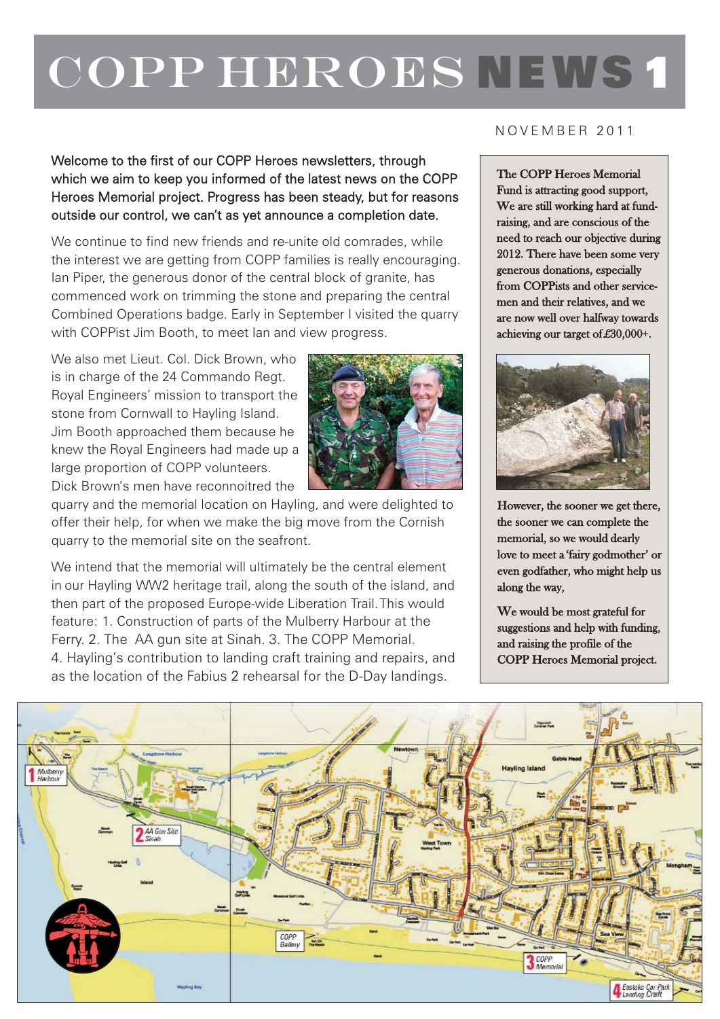## COPP HEROES NEWS 1

Welcome to the first of our COPP Heroes newsletters, through which we aim to keep you informed of the latest news on the COPP Heroes Memorial project. Progress has been steady, but for reasons outside our control, we can't as yet announce a completion date.

We continue to find new friends and re-unite old comrades, while the interest we are getting from COPP families is really encouraging. Ian Piper, the generous donor of the central block of granite, has commenced work on trimming the stone and preparing the central Combined Operations badge. Early in September I visited the quarry with COPPist Jim Booth, to meet Ian and view progress.

We also met Lieut. Col. Dick Brown, who is in charge of the 24 Commando Regt. Royal Engineers' mission to transport the stone from Cornwall to Hayling Island. Jim Booth approached them because he knew the Royal Engineers had made up a large proportion of COPP volunteers. Dick Brown's men have reconnoitred the



quarry and the memorial location on Hayling, and were delighted to offer their help, for when we make the big move from the Cornish quarry to the memorial site on the seafront.

We intend that the memorial will ultimately be the central element in our Hayling WW2 heritage trail, along the south of the island, and then part of the proposed Europe-wide Liberation Trail.This would feature: 1. Construction of parts of the Mulberry Harbour at the Ferry. 2. The AA gun site at Sinah. 3. The COPP Memorial. 4. Hayling's contribution to landing craft training and repairs, and as the location of the Fabius 2 rehearsal for the D-Day landings.

## NOVEMBER 2011

The COPP Heroes Memorial Fund is attracting good support, We are still working hard at fundraising, and are conscious of the need to reach our objective during 2012. There have been some very generous donations, especially from COPPists and other servicemen and their relatives, and we are now well over halfway towards achieving our target of £30,000+.



However, the sooner we get there, the sooner we can complete the memorial, so we would dearly love to meet a 'fairy godmother' or even godfather, who might help us along the way,

We would be most grateful for suggestions and help with funding, and raising the profile of the COPP Heroes Memorial project.